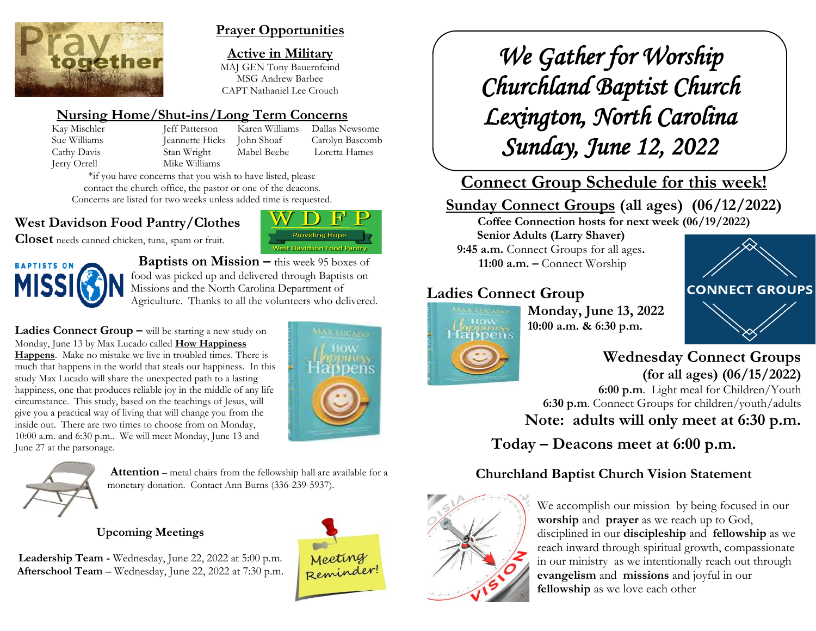

#### **Prayer Opportunities**

**Active in Military** MAJ GEN Tony Bauernfeind MSG Andrew Barbee CAPT Nathaniel Lee Crouch

# **Nursing Home/Shut-ins/Long Term Concerns**

Kay Mischler Jeff Patterson Karen Williams Dallas Newsome Sue Williams Jeannette Hicks John Shoaf Carolyn Bascomb Cathy Davis Stan Wright Mabel Beebe Loretta Hames Jerry Orrell Mike Williams

**Providing Hope West Davidson Food Pantry** 

\*if you have concerns that you wish to have listed, please contact the church office, the pastor or one of the deacons. Concerns are listed for two weeks unless added time is requested.

# **West Davidson Food Pantry/Clothes**

**Closet** needs canned chicken, tuna, spam or fruit.



 **Baptists on Mission –** this week 95 boxes of food was picked up and delivered through Baptists on Missions and the North Carolina Department of Agriculture. Thanks to all the volunteers who delivered.

**Ladies Connect Group –** will be starting a new study on Monday, June 13 by Max Lucado called **How Happiness Happens**. Make no mistake we live in troubled times. There is much that happens in the world that steals our happiness. In this study Max Lucado will share the unexpected path to a lasting happiness, one that produces reliable joy in the middle of any life circumstance. This study, based on the teachings of Jesus, will give you a practical way of living that will change you from the inside out. There are two times to choose from on Monday, 10:00 a.m. and 6:30 p.m.. We will meet Monday, June 13 and June 27 at the parsonage.





**Attention** – metal chairs from the fellowship hall are available for a monetary donation. Contact Ann Burns (336-239-5937).

## **Upcoming Meetings**

**Leadership Team -** Wednesday, June 22, 2022 at 5:00 p.m. **Afterschool Team** – Wednesday, June 22, 2022 at 7:30 p.m.



*We Gather for Worship Churchland Baptist Church Lexington, North Carolina Sunday, June 12, 2022* 

# **Connect Group Schedule for this week!**

# **Sunday Connect Groups (all ages) (06/12/2022)**

**Coffee Connection hosts for next week (06/19/2022) Senior Adults (Larry Shaver) 9:45 a.m.** Connect Groups for all ages**.**

**11:00 a.m. –** Connect Worship

# **Ladies Connect Group**



**Monday, June 13, 2022 10:00 a.m. & 6:30 p.m.**



# **Wednesday Connect Groups (for all ages) (06/15/2022)**

 **6:00 p.m**. Light meal for Children/Youth **6:30 p.m**. Connect Groups for children/youth/adults **Note: adults will only meet at 6:30 p.m.**

**Today – Deacons meet at 6:00 p.m.**

# **Churchland Baptist Church Vision Statement**



We accomplish our mission by being focused in our **worship** and **prayer** as we reach up to God, disciplined in our **discipleship** and **fellowship** as we reach inward through spiritual growth, compassionate in our ministry as we intentionally reach out through **evangelism** and **missions** and joyful in our **fellowship** as we love each other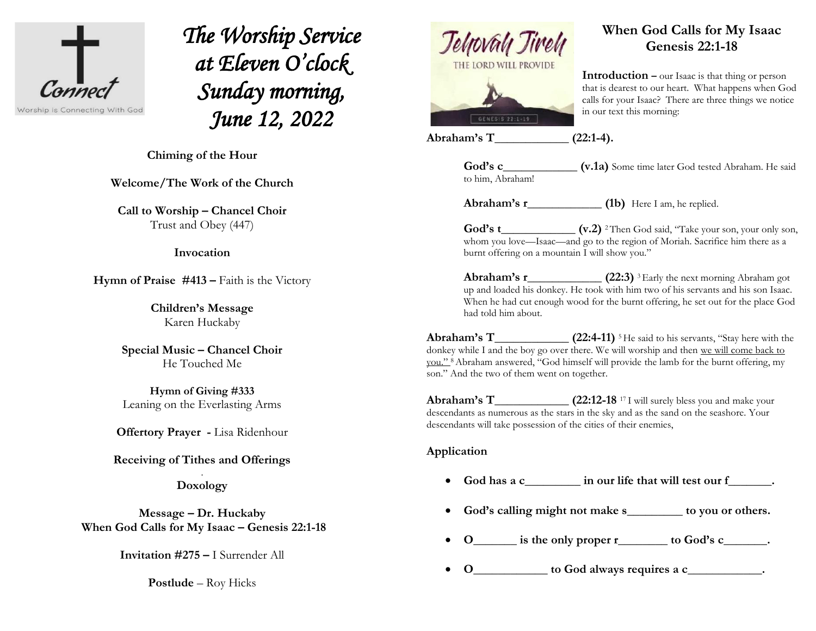

*The Worship Service at Eleven O'clock Sunday morning, June 12, 2022* 

 $\overline{a}$ **Chiming of the Hour**

**Welcome/The Work of the Church**

**Call to Worship – Chancel Choir** Trust and Obey (447)

#### **Invocation**

**Hymn of Praise #413 –** Faith is the Victory

**Children's Message** Karen Huckaby

**Special Music – Chancel Choir** He Touched Me

**Hymn of Giving #333** Leaning on the Everlasting Arms

**Offertory Prayer -** Lisa Ridenhour

**Receiving of Tithes and Offerings**

. **Doxology**

**Message – Dr. Huckaby When God Calls for My Isaac – Genesis 22:1-18**

**Invitation #275 –** I Surrender All

**Postlude** – Roy Hicks



#### **When God Calls for My Isaac Genesis 22:1-18**

**Introduction –** our Isaac is that thing or person that is dearest to our heart. What happens when God calls for your Isaac? There are three things we notice in our text this morning:

**Abraham's T\_\_\_\_\_\_\_\_\_\_\_\_ (22:1-4).**

to him, Abraham!

God's c\_\_\_\_\_\_\_\_\_\_\_\_\_\_ (v.1a) Some time later God tested Abraham. He said

**Abraham's r\_\_\_\_\_\_\_\_\_\_\_\_ (1b)** Here I am, he replied.

God's t\_\_\_\_\_\_\_\_\_\_\_\_\_\_ (v.2) <sup>2</sup>Then God said, "Take your son, your only son, whom you love—Isaac—and go to the region of Moriah. Sacrifice him there as a burnt offering on a mountain I will show you."

**Abraham's r\_\_\_\_\_\_\_\_\_\_\_\_\_\_\_\_\_ (22:3)** <sup>3</sup> Early the next morning Abraham got up and loaded his donkey. He took with him two of his servants and his son Isaac. When he had cut enough wood for the burnt offering, he set out for the place God had told him about.

**Abraham's T\_\_\_\_\_\_\_\_\_\_\_\_ (22:4-11)** <sup>5</sup> He said to his servants, "Stay here with the donkey while I and the boy go over there. We will worship and then we will come back to you." 8Abraham answered, "God himself will provide the lamb for the burnt offering, my son." And the two of them went on together.

**Abraham's T (22:12-18** <sup>17</sup> I will surely bless you and make your descendants as numerous as the stars in the sky and as the sand on the seashore. Your descendants will take possession of the cities of their enemies,

#### **Application**

- **God has a c\_\_\_\_\_\_\_\_\_ in our life that will test our f\_\_\_\_\_\_\_.**
- **God's calling might not make s\_\_\_\_\_\_\_\_\_ to you or others.**
- **O\_\_\_\_\_\_\_ is the only proper r\_\_\_\_\_\_\_\_ to God's c\_\_\_\_\_\_\_.**
- **O\_\_\_\_\_\_\_\_\_\_\_\_ to God always requires a c\_\_\_\_\_\_\_\_\_\_\_\_.**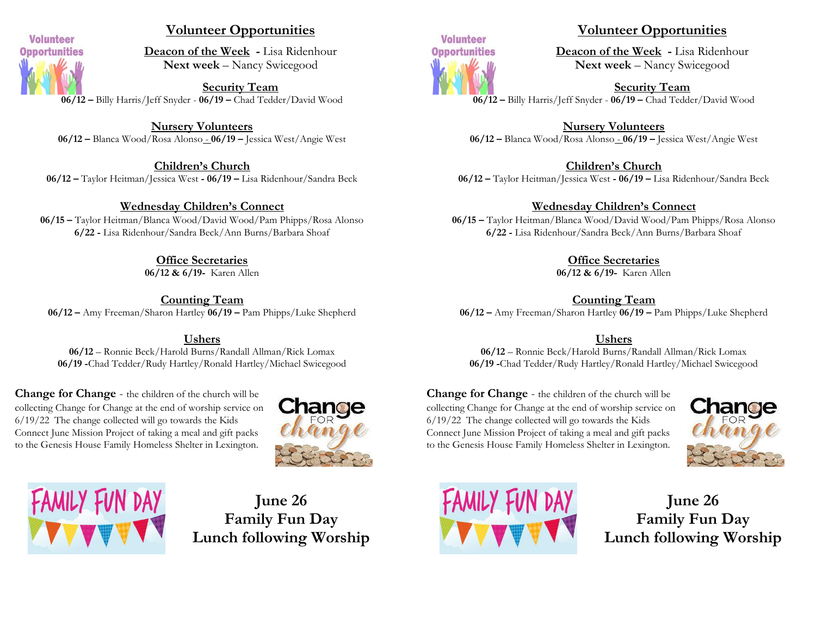

#### **Volunteer Opportunities**

**Deacon of the Week -** Lisa Ridenhour **Next week** – Nancy Swicegood

**Security Team 06/12 –** Billy Harris/Jeff Snyder - **06/19 –** Chad Tedder/David Wood

**Nursery Volunteers 06/12 –** Blanca Wood/Rosa Alonso - **06/19 –** Jessica West/Angie West

**Children's Church 06/12 –** Taylor Heitman/Jessica West **- 06/19 –** Lisa Ridenhour/Sandra Beck

#### **Wednesday Children's Connect**

**06/15 –** Taylor Heitman/Blanca Wood/David Wood/Pam Phipps/Rosa Alonso **6/22 -** Lisa Ridenhour/Sandra Beck/Ann Burns/Barbara Shoaf

**Office Secretaries**

**06/12 & 6/19-** Karen Allen

**Counting Team 06/12 –** Amy Freeman/Sharon Hartley **06/19 –** Pam Phipps/Luke Shepherd

#### **Ushers**

**06/12** – Ronnie Beck/Harold Burns/Randall Allman/Rick Lomax **06/19 -**Chad Tedder/Rudy Hartley/Ronald Hartley/Michael Swicegood

**Change for Change** - the children of the church will be collecting Change for Change at the end of worship service on 6/19/22 The change collected will go towards the Kids Connect June Mission Project of taking a meal and gift packs to the Genesis House Family Homeless Shelter in Lexington.





**June 26 Family Fun Day Lunch following Worship**



#### **Volunteer Opportunities**

**Deacon of the Week -** Lisa Ridenhour **Next week** – Nancy Swicegood

**Security Team 06/12 –** Billy Harris/Jeff Snyder - **06/19 –** Chad Tedder/David Wood

**Nursery Volunteers 06/12 –** Blanca Wood/Rosa Alonso - **06/19 –** Jessica West/Angie West

**Children's Church 06/12 –** Taylor Heitman/Jessica West **- 06/19 –** Lisa Ridenhour/Sandra Beck

**Wednesday Children's Connect**

**06/15 –** Taylor Heitman/Blanca Wood/David Wood/Pam Phipps/Rosa Alonso **6/22 -** Lisa Ridenhour/Sandra Beck/Ann Burns/Barbara Shoaf

**Office Secretaries**

**06/12 & 6/19-** Karen Allen

**Counting Team 06/12 –** Amy Freeman/Sharon Hartley **06/19 –** Pam Phipps/Luke Shepherd

#### **Ushers**

**06/12** – Ronnie Beck/Harold Burns/Randall Allman/Rick Lomax **06/19 -**Chad Tedder/Rudy Hartley/Ronald Hartley/Michael Swicegood

**Change for Change** - the children of the church will be collecting Change for Change at the end of worship service on 6/19/22 The change collected will go towards the Kids Connect June Mission Project of taking a meal and gift packs to the Genesis House Family Homeless Shelter in Lexington.





**June 26 Family Fun Day Lunch following Worship**